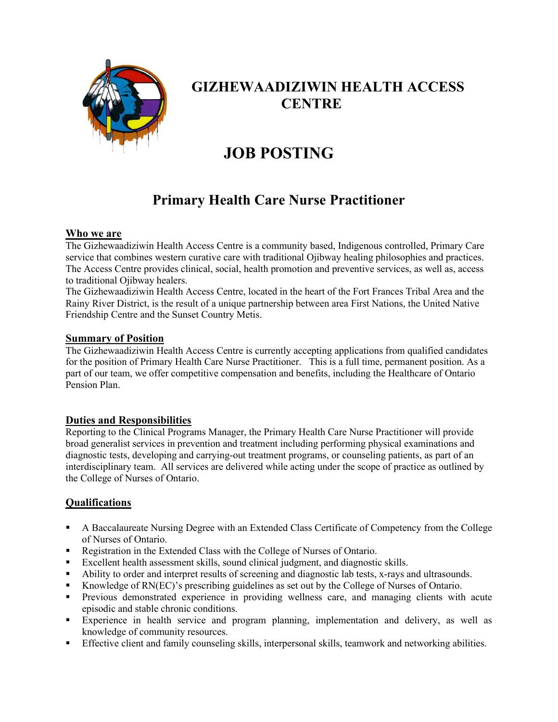

## **GIZHEWAADIZIWIN HEALTH ACCESS CENTRE**

# **JOB POSTING**

## **Primary Health Care Nurse Practitioner**

#### **Who we are**

The Gizhewaadiziwin Health Access Centre is a community based, Indigenous controlled, Primary Care service that combines western curative care with traditional Ojibway healing philosophies and practices. The Access Centre provides clinical, social, health promotion and preventive services, as well as, access to traditional Ojibway healers.

The Gizhewaadiziwin Health Access Centre, located in the heart of the Fort Frances Tribal Area and the Rainy River District, is the result of a unique partnership between area First Nations, the United Native Friendship Centre and the Sunset Country Metis.

#### **Summary of Position**

The Gizhewaadiziwin Health Access Centre is currently accepting applications from qualified candidates for the position of Primary Health Care Nurse Practitioner. This is a full time, permanent position. As a part of our team, we offer competitive compensation and benefits, including the Healthcare of Ontario Pension Plan.

#### **Duties and Responsibilities**

Reporting to the Clinical Programs Manager, the Primary Health Care Nurse Practitioner will provide broad generalist services in prevention and treatment including performing physical examinations and diagnostic tests, developing and carrying-out treatment programs, or counseling patients, as part of an interdisciplinary team. All services are delivered while acting under the scope of practice as outlined by the College of Nurses of Ontario.

#### **Qualifications**

- A Baccalaureate Nursing Degree with an Extended Class Certificate of Competency from the College of Nurses of Ontario.
- Registration in the Extended Class with the College of Nurses of Ontario.
- Excellent health assessment skills, sound clinical judgment, and diagnostic skills.
- Ability to order and interpret results of screening and diagnostic lab tests, x-rays and ultrasounds.
- Knowledge of RN(EC)'s prescribing guidelines as set out by the College of Nurses of Ontario.
- Previous demonstrated experience in providing wellness care, and managing clients with acute episodic and stable chronic conditions.
- Experience in health service and program planning, implementation and delivery, as well as knowledge of community resources.
- Effective client and family counseling skills, interpersonal skills, teamwork and networking abilities.